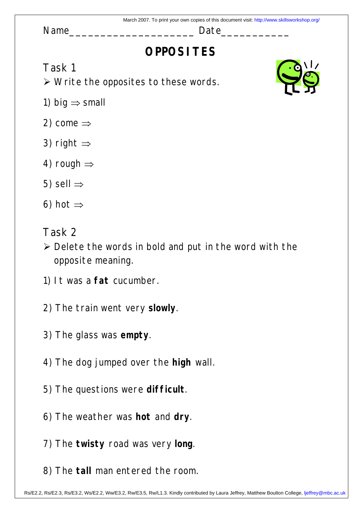Name \_\_\_\_\_\_\_\_\_\_\_\_\_\_\_\_\_\_\_\_\_\_\_\_\_\_\_\_\_\_\_ Date\_

# **OPPOSITES**

Task 1

 $\triangleright$  Write the opposites to these words.

- 1) big  $\Rightarrow$  small
- 2) come  $\Rightarrow$
- 3) right  $\Rightarrow$
- 4) rough  $\Rightarrow$
- 5) sell  $\Rightarrow$
- 6) hot  $\Rightarrow$
- Task 2
- $\triangleright$  Delete the words in bold and put in the word with the opposite meaning.
- 1) It was a **fat** cucumber.
- 2) The train went very **slowly**.
- 3) The glass was **empty**.
- 4) The dog jumped over the **high** wall.
- 5) The questions were **difficult**.
- 6) The weather was **hot** and **dry**.
- 7) The **twisty** road was very **long**.
- 8) The **tall** man entered the room.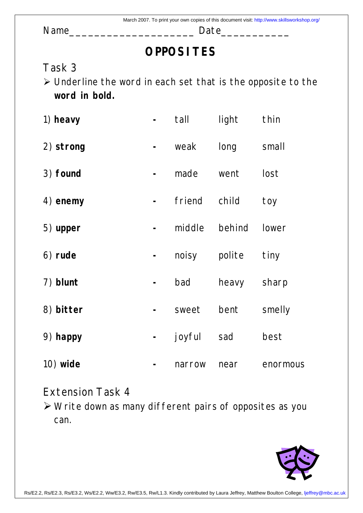Name\_\_\_\_\_\_\_\_\_\_\_\_\_\_\_\_\_\_\_\_ Date\_\_\_\_\_\_\_\_\_\_\_

# **OPPOSITES**

## Task 3

¾ Underline the word in each set that is the opposite to the **word in bold.** 

| 1) heavy   | tall   | light  | thin     |
|------------|--------|--------|----------|
| 2) strong  | weak   | long   | small    |
| 3) found   | made   | went   | lost     |
| 4) enemy   | friend | child  | toy      |
| 5) upper   | middle | behind | lower    |
| 6) rude    | noisy  | polite | tiny     |
| 7) blunt   | bad    | heavy  | sharp    |
| 8) bitter  | sweet  | bent   | smelly   |
| 9) happy   | joyful | sad    | best     |
| $10)$ wide | narrow | near   | enormous |

### Extension Task 4

¾ Write down as many different pairs of opposites as you can.

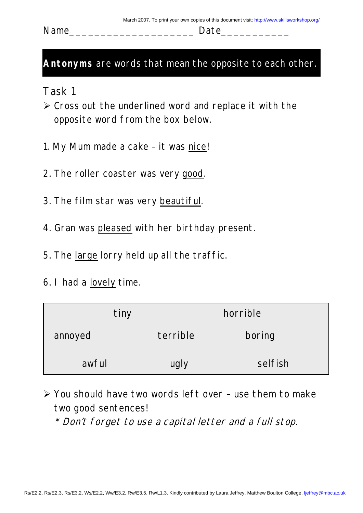Name Date

#### **Antonyms** are words that mean the opposite to each other.

Task 1

- $\triangleright$  Cross out the underlined word and replace it with the opposite word from the box below.
- 1. My Mum made a cake it was nice!
- 2. The roller coaster was very good.
- 3. The film star was very beautiful.
- 4. Gran was pleased with her birthday present.
- 5. The large lorry held up all the traffic.
- 6. I had a lovely time.

| tiny    |          | horrible |
|---------|----------|----------|
| annoyed | terrible | boring   |
| awful   | ugly     | selfish  |

 $\triangleright$  You should have two words left over – use them to make two good sentences!

\* Don't forget to use a capital letter and a full stop.